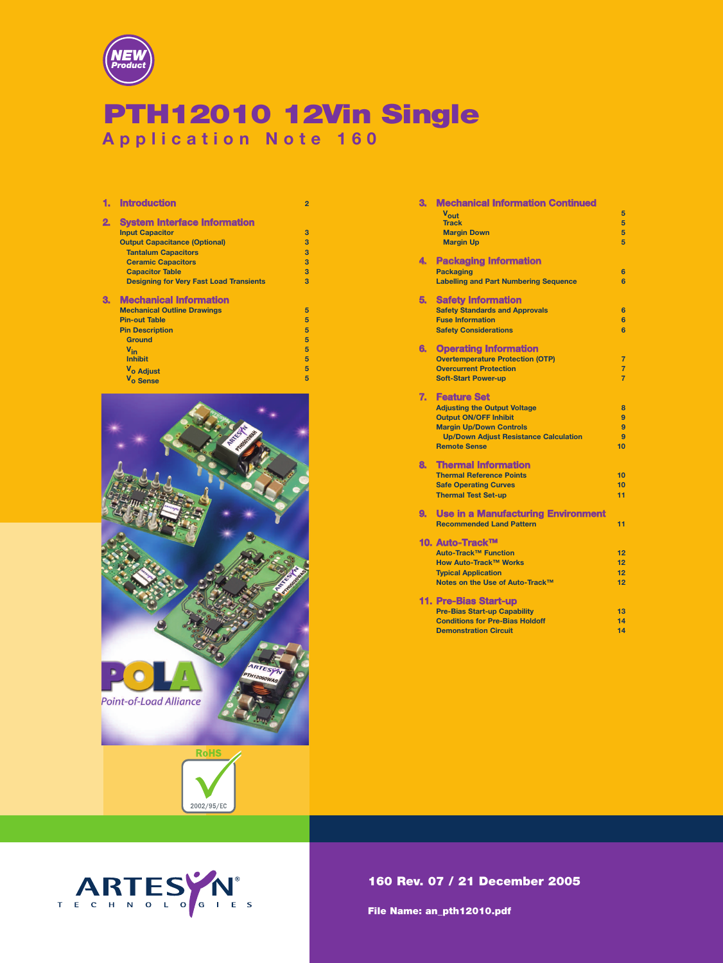

## PTH12010 12Vin Single **Application Note 160**

| 1. | <b>Introduction</b>                            | $\overline{2}$ |
|----|------------------------------------------------|----------------|
| 2. | <b>System Interface Information</b>            |                |
|    | <b>Input Capacitor</b>                         | 3              |
|    | <b>Output Capacitance (Optional)</b>           | 3              |
|    | <b>Tantalum Capacitors</b>                     | 3              |
|    | <b>Ceramic Capacitors</b>                      | 3              |
|    | <b>Capacitor Table</b>                         | 3              |
|    | <b>Designing for Very Fast Load Transients</b> | 3              |
| З. | <b>Mechanical Information</b>                  |                |
|    | <b>Mechanical Outline Drawings</b>             | 5              |
|    | <b>Pin-out Table</b>                           | 5              |
|    | <b>Pin Description</b>                         | 5              |
|    | <b>Ground</b>                                  | 5              |
|    | $V_{in}$                                       | 5              |
|    | <b>Inhibit</b>                                 | 5              |
|    | V <sub>o</sub> Adjust                          | 5              |
|    | $\overline{\mathbf{u}}$                        | $\overline{a}$ |



2002/95/EC





160 Rev. 07 / 21 December 2005

File Name: an\_pth12010.pdf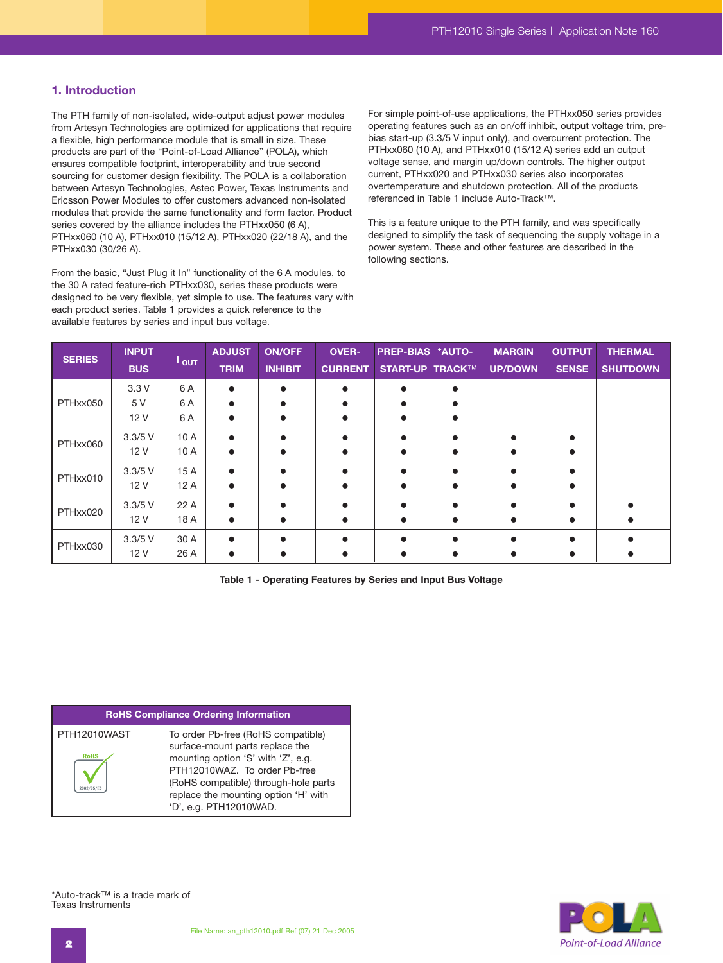## **1. Introduction**

The PTH family of non-isolated, wide-output adjust power modules from Artesyn Technologies are optimized for applications that require a flexible, high performance module that is small in size. These products are part of the "Point-of-Load Alliance" (POLA), which ensures compatible footprint, interoperability and true second sourcing for customer design flexibility. The POLA is a collaboration between Artesyn Technologies, Astec Power, Texas Instruments and Ericsson Power Modules to offer customers advanced non-isolated modules that provide the same functionality and form factor. Product series covered by the alliance includes the PTHxx050 (6 A), PTHxx060 (10 A), PTHxx010 (15/12 A), PTHxx020 (22/18 A), and the PTHxx030 (30/26 A).

From the basic, "Just Plug it In" functionality of the 6 A modules, to the 30 A rated feature-rich PTHxx030, series these products were designed to be very flexible, yet simple to use. The features vary with each product series. Table 1 provides a quick reference to the available features by series and input bus voltage.

For simple point-of-use applications, the PTHxx050 series provides operating features such as an on/off inhibit, output voltage trim, prebias start-up (3.3/5 V input only), and overcurrent protection. The PTHxx060 (10 A), and PTHxx010 (15/12 A) series add an output voltage sense, and margin up/down controls. The higher output current, PTHxx020 and PTHxx030 series also incorporates overtemperature and shutdown protection. All of the products referenced in Table 1 include Auto-Track™.

This is a feature unique to the PTH family, and was specifically designed to simplify the task of sequencing the supply voltage in a power system. These and other features are described in the following sections.

| <b>SERIES</b> | <b>INPUT</b><br><b>BUS</b> | $I_{\text{OUT}}$  | <b>ADJUST</b><br><b>TRIM</b> | <b>ON/OFF</b><br><b>INHIBIT</b> | <b>OVER-</b><br><b>CURRENT</b> | PREP-BIAS *AUTO-<br><b>START-UP TRACK™</b> | <b>MARGIN</b><br><b>UP/DOWN</b> | <b>OUTPUT</b><br><b>SENSE</b> | <b>THERMAL</b><br><b>SHUTDOWN</b> |
|---------------|----------------------------|-------------------|------------------------------|---------------------------------|--------------------------------|--------------------------------------------|---------------------------------|-------------------------------|-----------------------------------|
| PTHxx050      | 3.3V<br>5 V<br>12 V        | 6 A<br>6 A<br>6 A | $\bullet$                    |                                 | $\bullet$                      |                                            |                                 |                               |                                   |
| PTHxx060      | $3.3/5$ V<br>12 V          | 10A<br>10A        |                              |                                 |                                |                                            |                                 |                               |                                   |
| PTHxx010      | $3.3/5$ V<br>12 V          | 15A<br>12A        |                              |                                 |                                |                                            |                                 |                               |                                   |
| PTHxx020      | $3.3/5$ V<br>12 V          | 22 A<br>18 A      |                              |                                 | $\bullet$                      |                                            |                                 |                               |                                   |
| PTHxx030      | $3.3/5$ V<br>12 V          | 30 A<br>26 A      |                              |                                 |                                |                                            |                                 |                               |                                   |

**Table 1 - Operating Features by Series and Input Bus Voltage**

#### **RoHS Compliance Ordering Information**

| PTH12010WAST | To order Pb-free (RoHS compatible)   |
|--------------|--------------------------------------|
|              | surface-mount parts replace the      |
| <b>RoHS</b>  | mounting option 'S' with 'Z', e.g.   |
|              |                                      |
|              | PTH12010WAZ. To order Pb-free        |
|              | (RoHS compatible) through-hole parts |
|              | replace the mounting option 'H' with |
|              | 'D', e.g. PTH12010WAD.               |



\*Auto-track™ is a trade mark of Texas Instruments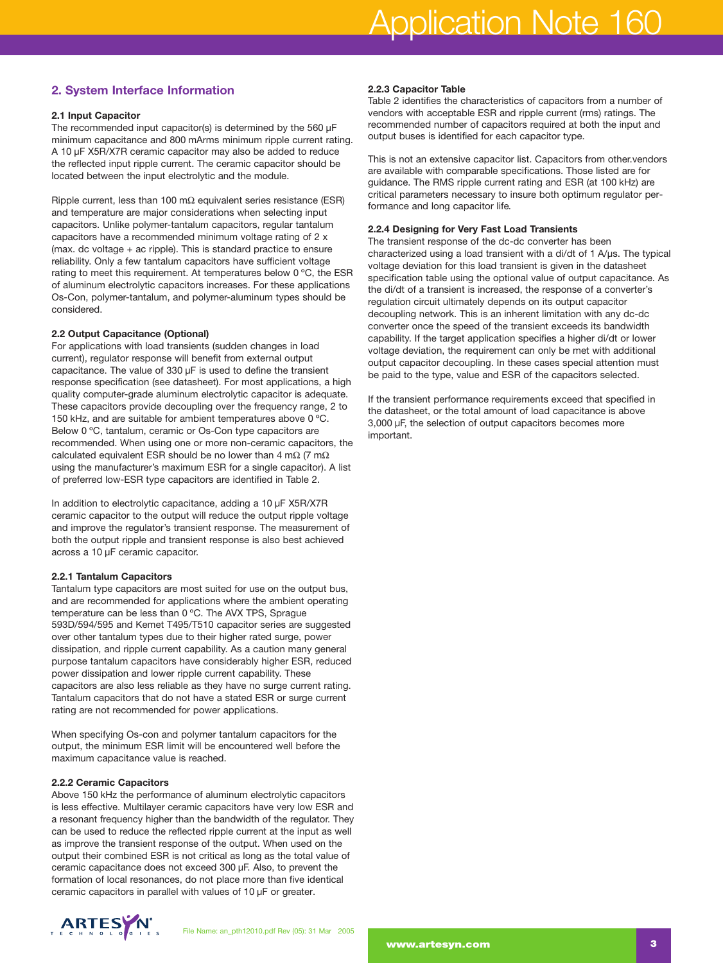## **2. System Interface Information**

#### **2.1 Input Capacitor**

The recommended input capacitor(s) is determined by the 560 µF minimum capacitance and 800 mArms minimum ripple current rating. A 10 µF X5R/X7R ceramic capacitor may also be added to reduce the reflected input ripple current. The ceramic capacitor should be located between the input electrolytic and the module.

Ripple current, less than 100 m $\Omega$  equivalent series resistance (ESR) and temperature are major considerations when selecting input capacitors. Unlike polymer-tantalum capacitors, regular tantalum capacitors have a recommended minimum voltage rating of 2 x (max. dc voltage + ac ripple). This is standard practice to ensure reliability. Only a few tantalum capacitors have sufficient voltage rating to meet this requirement. At temperatures below 0 ºC, the ESR of aluminum electrolytic capacitors increases. For these applications Os-Con, polymer-tantalum, and polymer-aluminum types should be considered.

#### **2.2 Output Capacitance (Optional)**

For applications with load transients (sudden changes in load current), regulator response will benefit from external output capacitance. The value of 330 µF is used to define the transient response specification (see datasheet). For most applications, a high quality computer-grade aluminum electrolytic capacitor is adequate. These capacitors provide decoupling over the frequency range, 2 to 150 kHz, and are suitable for ambient temperatures above 0 ºC. Below 0 ºC, tantalum, ceramic or Os-Con type capacitors are recommended. When using one or more non-ceramic capacitors, the calculated equivalent ESR should be no lower than 4 m $\Omega$  (7 m $\Omega$ using the manufacturer's maximum ESR for a single capacitor). A list of preferred low-ESR type capacitors are identified in Table 2.

In addition to electrolytic capacitance, adding a 10 µF X5R/X7R ceramic capacitor to the output will reduce the output ripple voltage and improve the regulator's transient response. The measurement of both the output ripple and transient response is also best achieved across a 10 µF ceramic capacitor.

#### **2.2.1 Tantalum Capacitors**

Tantalum type capacitors are most suited for use on the output bus, and are recommended for applications where the ambient operating temperature can be less than 0 ºC. The AVX TPS, Sprague 593D/594/595 and Kemet T495/T510 capacitor series are suggested over other tantalum types due to their higher rated surge, power dissipation, and ripple current capability. As a caution many general purpose tantalum capacitors have considerably higher ESR, reduced power dissipation and lower ripple current capability. These capacitors are also less reliable as they have no surge current rating. Tantalum capacitors that do not have a stated ESR or surge current rating are not recommended for power applications.

When specifying Os-con and polymer tantalum capacitors for the output, the minimum ESR limit will be encountered well before the maximum capacitance value is reached.

#### **2.2.2 Ceramic Capacitors**

Above 150 kHz the performance of aluminum electrolytic capacitors is less effective. Multilayer ceramic capacitors have very low ESR and a resonant frequency higher than the bandwidth of the regulator. They can be used to reduce the reflected ripple current at the input as well as improve the transient response of the output. When used on the output their combined ESR is not critical as long as the total value of ceramic capacitance does not exceed 300 µF. Also, to prevent the formation of local resonances, do not place more than five identical ceramic capacitors in parallel with values of 10 µF or greater.

### **2.2.3 Capacitor Table**

Table 2 identifies the characteristics of capacitors from a number of vendors with acceptable ESR and ripple current (rms) ratings. The recommended number of capacitors required at both the input and output buses is identified for each capacitor type.

This is not an extensive capacitor list. Capacitors from other.vendors are available with comparable specifications. Those listed are for guidance. The RMS ripple current rating and ESR (at 100 kHz) are critical parameters necessary to insure both optimum regulator performance and long capacitor life*.*

#### **2.2.4 Designing for Very Fast Load Transients**

The transient response of the dc-dc converter has been characterized using a load transient with a di/dt of 1 A/µs. The typical voltage deviation for this load transient is given in the datasheet specification table using the optional value of output capacitance. As the di/dt of a transient is increased, the response of a converter's regulation circuit ultimately depends on its output capacitor decoupling network. This is an inherent limitation with any dc-dc converter once the speed of the transient exceeds its bandwidth capability. If the target application specifies a higher di/dt or lower voltage deviation, the requirement can only be met with additional output capacitor decoupling. In these cases special attention must be paid to the type, value and ESR of the capacitors selected.

If the transient performance requirements exceed that specified in the datasheet, or the total amount of load capacitance is above 3,000 µF, the selection of output capacitors becomes more important.

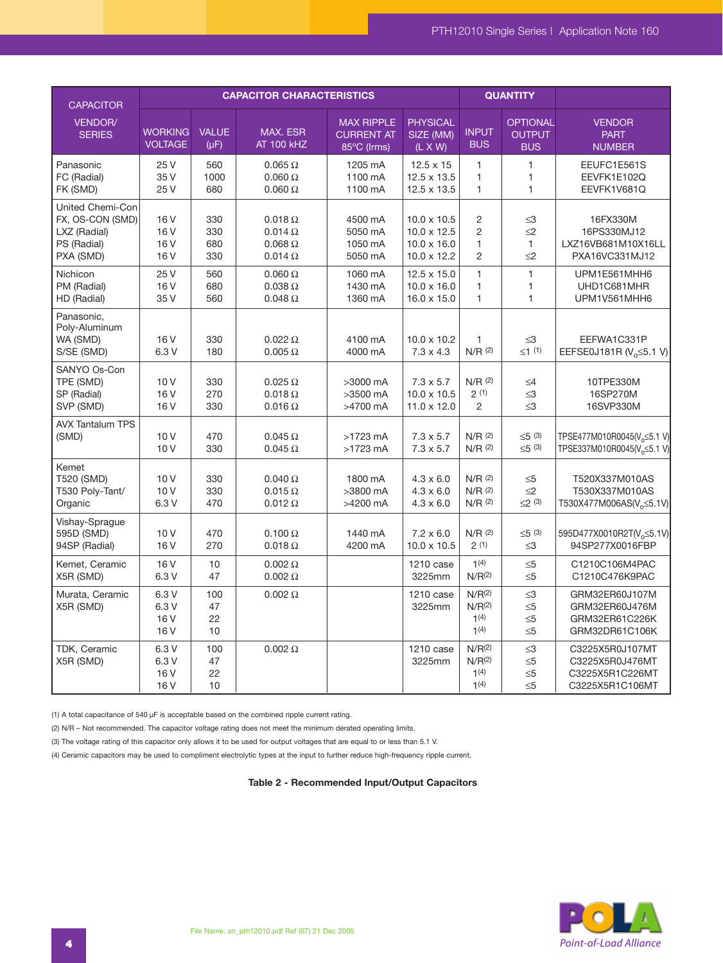| <b>CAPACITOR</b>                                                                 |                                                      |                           | <b>CAPACITOR CHARACTERISTICS</b>                                      | <b>QUANTITY</b>                                       |                                                                               |                                                                      |                                                |                                                                                     |
|----------------------------------------------------------------------------------|------------------------------------------------------|---------------------------|-----------------------------------------------------------------------|-------------------------------------------------------|-------------------------------------------------------------------------------|----------------------------------------------------------------------|------------------------------------------------|-------------------------------------------------------------------------------------|
| VENDOR/<br><b>SERIES</b>                                                         | <b>WORKING</b><br><b>VOLTAGE</b>                     | <b>VALUE</b><br>$(\mu F)$ | MAX. ESR<br><b>AT 100 kHZ</b>                                         | <b>MAX RIPPLE</b><br><b>CURRENT AT</b><br>85°C (Irms) | <b>PHYSICAL</b><br>SIZE (MM)<br>$(L \times W)$                                | <b>INPUT</b><br><b>BUS</b>                                           | <b>OPTIONAL</b><br><b>OUTPUT</b><br><b>BUS</b> | <b>VENDOR</b><br><b>PART</b><br><b>NUMBER</b>                                       |
| Panasonic<br>FC (Radial)<br>FK (SMD)                                             | 25 V<br>35 V<br>25 V                                 | 560<br>1000<br>680        | $0.065 \Omega$<br>$0.060\ \Omega$<br>$0.060\ \Omega$                  | 1205 mA<br>1100 mA<br>1100 mA                         | $12.5 \times 15$<br>12.5 x 13.5<br>12.5 x 13.5                                | $\mathbf{1}$<br>$\mathbf{1}$<br>$\mathbf{1}$                         | $\mathbf{1}$<br>$\mathbf{1}$<br>$\mathbf{1}$   | EEUFC1E561S<br>EEVFK1E102Q<br>EEVFK1V681Q                                           |
| United Chemi-Con<br>FX, OS-CON (SMD)<br>LXZ (Radial)<br>PS (Radial)<br>PXA (SMD) | 16 <sub>V</sub><br>16 V<br>16 V<br>16 V              | 330<br>330<br>680<br>330  | $0.018 \Omega$<br>$0.014 \Omega$<br>$0.068\ \Omega$<br>$0.014 \Omega$ | 4500 mA<br>5050 mA<br>1050 mA<br>5050 mA              | $10.0 \times 10.5$<br>$10.0 \times 12.5$<br>$10.0 \times 16.0$<br>10.0 x 12.2 | 2<br>$\overline{c}$<br>1<br>$\overline{2}$                           | $\leq$ 3<br>$\leq$ 2<br>1<br>$\leq$ 2          | 16FX330M<br>16PS330MJ12<br>LXZ16VB681M10X16LL<br>PXA16VC331MJ12                     |
| Nichicon<br>PM (Radial)<br>HD (Radial)                                           | 25 V<br>16 <sub>V</sub><br>35 V                      | 560<br>680<br>560         | $0.060\ \Omega$<br>$0.038 \Omega$<br>$0.048 \Omega$                   | 1060 mA<br>1430 mA<br>1360 mA                         | 12.5 x 15.0<br>$10.0 \times 16.0$<br>16.0 x 15.0                              | $\mathbf{1}$<br>1<br>1                                               | $\mathbf{1}$<br>$\mathbf{1}$<br>$\mathbf{1}$   | UPM1E561MHH6<br>UHD1C681MHR<br>UPM1V561MHH6                                         |
| Panasonic.<br>Poly-Aluminum<br>WA (SMD)<br>S/SE (SMD)                            | 16 <sub>V</sub><br>6.3V                              | 330<br>180                | $0.022 \Omega$<br>$0.005 \Omega$                                      | 4100 mA<br>4000 mA                                    | $10.0 \times 10.2$<br>$7.3 \times 4.3$                                        | 1<br>$N/R$ (2)                                                       | $\leq$ 3<br>$\leq 1$ (1)                       | EEFWA1C331P<br>EEFSE0J181R (V <sub>o</sub> < 5.1 V)                                 |
| SANYO Os-Con<br>TPE (SMD)<br>SP (Radial)<br>SVP (SMD)                            | 10 <sub>V</sub><br>16 <sub>V</sub><br>16 V           | 330<br>270<br>330         | $0.025 \Omega$<br>$0.018 \Omega$<br>$0.016 \Omega$                    | >3000 mA<br>>3500 mA<br>>4700 mA                      | $7.3 \times 5.7$<br>$10.0 \times 10.5$<br>11.0 x 12.0                         | $N/R$ (2)<br>2(1)<br>2                                               | $\leq 4$<br>$\leq$ 3<br>$\leq$ 3               | 10TPE330M<br>16SP270M<br>16SVP330M                                                  |
| <b>AVX Tantalum TPS</b><br>(SMD)                                                 | 10 <sub>V</sub><br>10 <sub>V</sub>                   | 470<br>330                | $0.045 \Omega$<br>$0.045 \Omega$                                      | $>1723$ mA<br>$>1723$ mA                              | $7.3 \times 5.7$<br>$7.3 \times 5.7$                                          | $N/R$ (2)<br>$N/R$ (2)                                               | $\leq 5$ (3)<br>$\leq 5$ (3)                   | TPSE477M010R0045(V <sub>o</sub> ≤5.1 V)<br>TPSE337M010R0045(V <sub>o</sub> < 5.1 V) |
| Kemet<br>T520 (SMD)<br>T530 Poly-Tant/<br>Organic                                | 10 <sub>V</sub><br>10 <sub>V</sub><br>6.3 V          | 330<br>330<br>470         | $0.040$ $\Omega$<br>$0.015 \Omega$<br>$0.012 \Omega$                  | 1800 mA<br>>3800 mA<br>>4200 mA                       | $4.3 \times 6.0$<br>$4.3 \times 6.0$<br>$4.3 \times 6.0$                      | $N/R$ (2)<br>$N/R$ (2)<br>$N/R$ (2)                                  | $\leq 5$<br>$\leq$ 2<br>$\leq$ (3)             | T520X337M010AS<br>T530X337M010AS<br>T530X477M006AS(V <sub>o</sub> ≤5.1V)            |
| Vishay-Sprague<br>595D (SMD)<br>94SP (Radial)                                    | 10V<br>16 <sub>V</sub>                               | 470<br>270                | $0.100 \Omega$<br>$0.018 \Omega$                                      | 1440 mA<br>4200 mA                                    | $7.2 \times 6.0$<br>$10.0 \times 10.5$                                        | $N/R$ (2)<br>2(1)                                                    | $\leq 5$ (3)<br>$\leq$ 3                       | 595D477X0010R2T(V <sub>2</sub> ≤5.1V)<br>94SP277X0016FBP                            |
| Kemet, Ceramic<br>X5R (SMD)                                                      | 16 <sub>V</sub><br>6.3V                              | 10<br>47                  | $0.002 \Omega$<br>$0.002 \Omega$                                      |                                                       | 1210 case<br>3225mm                                                           | 1(4)<br>N/R <sup>(2)</sup>                                           | $\leq 5$<br>$\leq 5$                           | C1210C106M4PAC<br>C1210C476K9PAC                                                    |
| Murata, Ceramic<br>X5R (SMD)                                                     | 6.3 V<br>6.3V<br>16 <sub>V</sub><br>16 <sub>V</sub>  | 100<br>47<br>22<br>10     | $0.002 \Omega$                                                        |                                                       | 1210 case<br>3225mm                                                           | N/R <sup>(2)</sup><br>N/R <sup>(2)</sup><br>1(4)<br>1(4)             | $\leq$ 3<br>$\leq 5$<br>$\leq 5$<br>$\leq 5$   | GRM32ER60J107M<br>GRM32ER60J476M<br>GRM32ER61C226K<br>GRM32DR61C106K                |
| TDK, Ceramic<br>X5R (SMD)                                                        | 6.3 V<br>6.3 V<br>16 <sub>V</sub><br>16 <sub>V</sub> | 100<br>47<br>22<br>10     | 0.002 $\Omega$                                                        |                                                       | 1210 case<br>3225mm                                                           | N/R <sup>(2)</sup><br>N/R <sup>(2)</sup><br>1(4)<br>1 <sup>(4)</sup> | $\leq 3$<br>$\leq 5$<br>$\leq 5$<br>$\leq 5$   | C3225X5R0J107MT<br>C3225X5R0J476MT<br>C3225X5R1C226MT<br>C3225X5R1C106MT            |

(1) A total capacitance of 540 µF is acceptable based on the combined ripple current rating.

(2) N/R – Not recommended. The capacitor voltage rating does not meet the minimum derated operating limits.

(3) The voltage rating of this capacitor only allows it to be used for output voltages that are equal to or less than 5.1 V.

(4) Ceramic capacitors may be used to compliment electrolytic types at the input to further reduce high-frequency ripple current.

**Table 2 - Recommended Input/Output Capacitors**

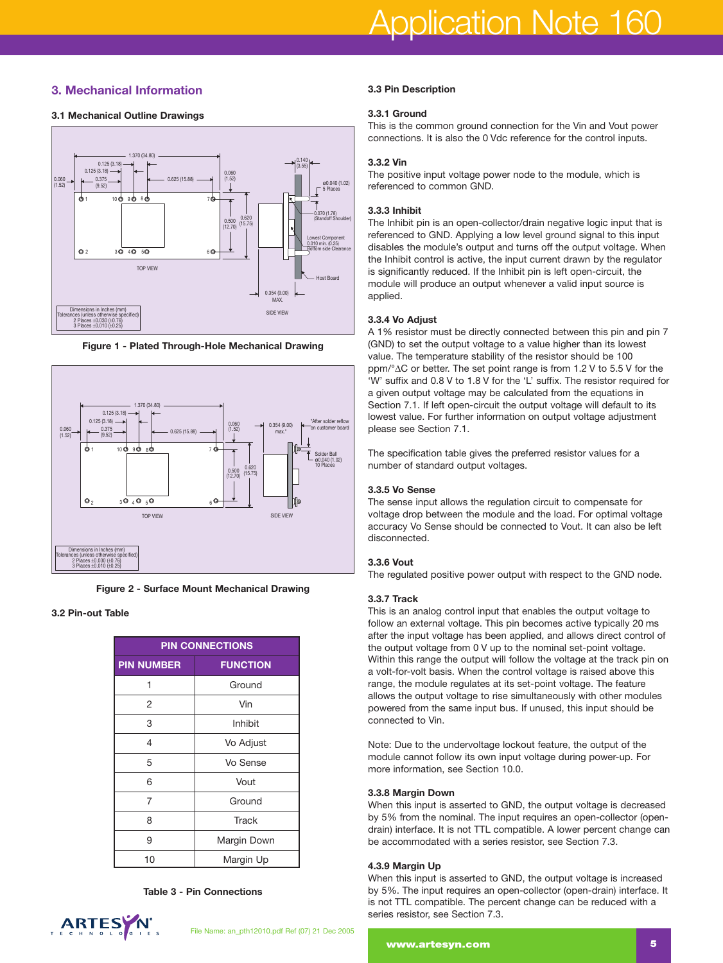## **3. Mechanical Information**

#### **3.1 Mechanical Outline Drawings**



**Figure 1 - Plated Through-Hole Mechanical Drawing**





#### **3.2 Pin-out Table**

| <b>PIN CONNECTIONS</b> |                 |  |  |  |  |
|------------------------|-----------------|--|--|--|--|
| <b>PIN NUMBER</b>      | <b>FUNCTION</b> |  |  |  |  |
| 1                      | Ground          |  |  |  |  |
| 2                      | Vin             |  |  |  |  |
| 3                      | Inhibit         |  |  |  |  |
| 4                      | Vo Adjust       |  |  |  |  |
| 5                      | Vo Sense        |  |  |  |  |
| 6                      | Vout            |  |  |  |  |
| 7                      | Ground          |  |  |  |  |
| 8                      | <b>Track</b>    |  |  |  |  |
| 9                      | Margin Down     |  |  |  |  |
| 10                     | Margin Up       |  |  |  |  |

**Table 3 - Pin Connections**



#### **3.3 Pin Description**

#### **3.3.1 Ground**

This is the common ground connection for the Vin and Vout power connections. It is also the 0 Vdc reference for the control inputs.

#### **3.3.2 Vin**

The positive input voltage power node to the module, which is referenced to common GND.

#### **3.3.3 Inhibit**

The Inhibit pin is an open-collector/drain negative logic input that is referenced to GND. Applying a low level ground signal to this input disables the module's output and turns off the output voltage. When the Inhibit control is active, the input current drawn by the regulator is significantly reduced. If the Inhibit pin is left open-circuit, the module will produce an output whenever a valid input source is applied.

#### **3.3.4 Vo Adjust**

A 1% resistor must be directly connected between this pin and pin 7 (GND) to set the output voltage to a value higher than its lowest value. The temperature stability of the resistor should be 100 ppm/°∆C or better. The set point range is from 1.2 V to 5.5 V for the 'W' suffix and 0.8 V to 1.8 V for the 'L' suffix. The resistor required for a given output voltage may be calculated from the equations in Section 7.1. If left open-circuit the output voltage will default to its lowest value. For further information on output voltage adjustment please see Section 7.1.

The specification table gives the preferred resistor values for a number of standard output voltages.

#### **3.3.5 Vo Sense**

The sense input allows the regulation circuit to compensate for voltage drop between the module and the load. For optimal voltage accuracy Vo Sense should be connected to Vout. It can also be left disconnected.

#### **3.3.6 Vout**

The regulated positive power output with respect to the GND node.

#### **3.3.7 Track**

This is an analog control input that enables the output voltage to follow an external voltage. This pin becomes active typically 20 ms after the input voltage has been applied, and allows direct control of the output voltage from 0 V up to the nominal set-point voltage. Within this range the output will follow the voltage at the track pin on a volt-for-volt basis. When the control voltage is raised above this range, the module regulates at its set-point voltage. The feature allows the output voltage to rise simultaneously with other modules powered from the same input bus. If unused, this input should be connected to Vin.

Note: Due to the undervoltage lockout feature, the output of the module cannot follow its own input voltage during power-up. For more information, see Section 10.0.

#### **3.3.8 Margin Down**

When this input is asserted to GND, the output voltage is decreased by 5% from the nominal. The input requires an open-collector (opendrain) interface. It is not TTL compatible. A lower percent change can be accommodated with a series resistor, see Section 7.3.

#### **4.3.9 Margin Up**

When this input is asserted to GND, the output voltage is increased by 5%. The input requires an open-collector (open-drain) interface. It is not TTL compatible. The percent change can be reduced with a series resistor, see Section 7.3.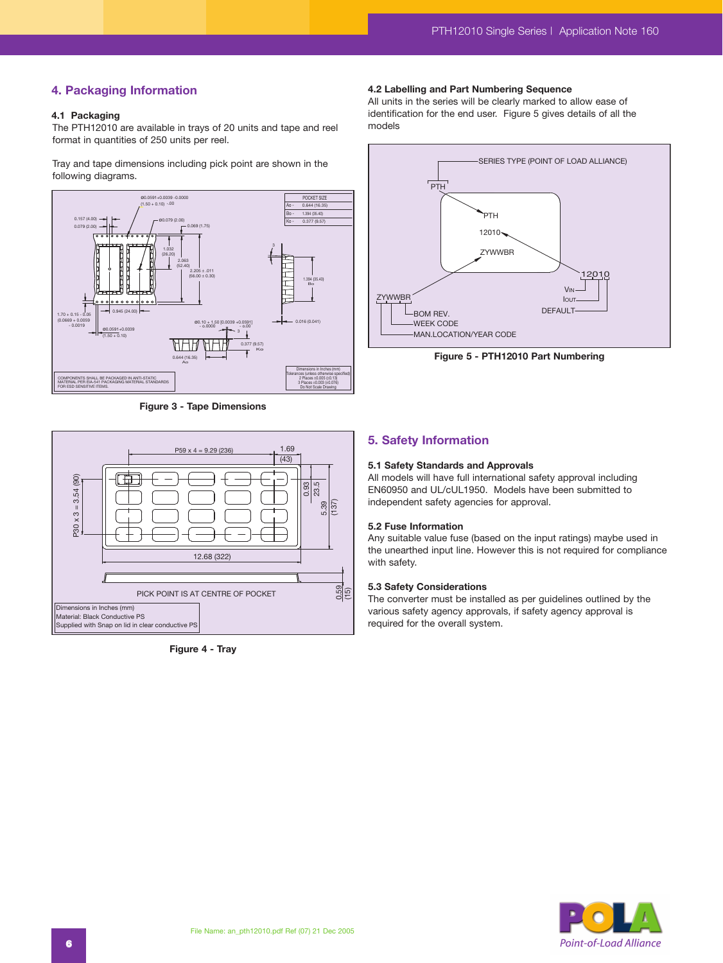## **4. Packaging Information**

#### **4.1 Packaging**

The PTH12010 are available in trays of 20 units and tape and reel format in quantities of 250 units per reel.

Tray and tape dimensions including pick point are shown in the following diagrams.



**Figure 3 - Tape Dimensions**



**Figure 4 - Tray**

#### **4.2 Labelling and Part Numbering Sequence**

All units in the series will be clearly marked to allow ease of identification for the end user. Figure 5 gives details of all the models



**Figure 5 - PTH12010 Part Numbering**

## **5. Safety Information**

#### **5.1 Safety Standards and Approvals**

All models will have full international safety approval including EN60950 and UL/cUL1950. Models have been submitted to independent safety agencies for approval.

#### **5.2 Fuse Information**

Any suitable value fuse (based on the input ratings) maybe used in the unearthed input line. However this is not required for compliance with safety.

#### **5.3 Safety Considerations**

The converter must be installed as per guidelines outlined by the various safety agency approvals, if safety agency approval is required for the overall system.

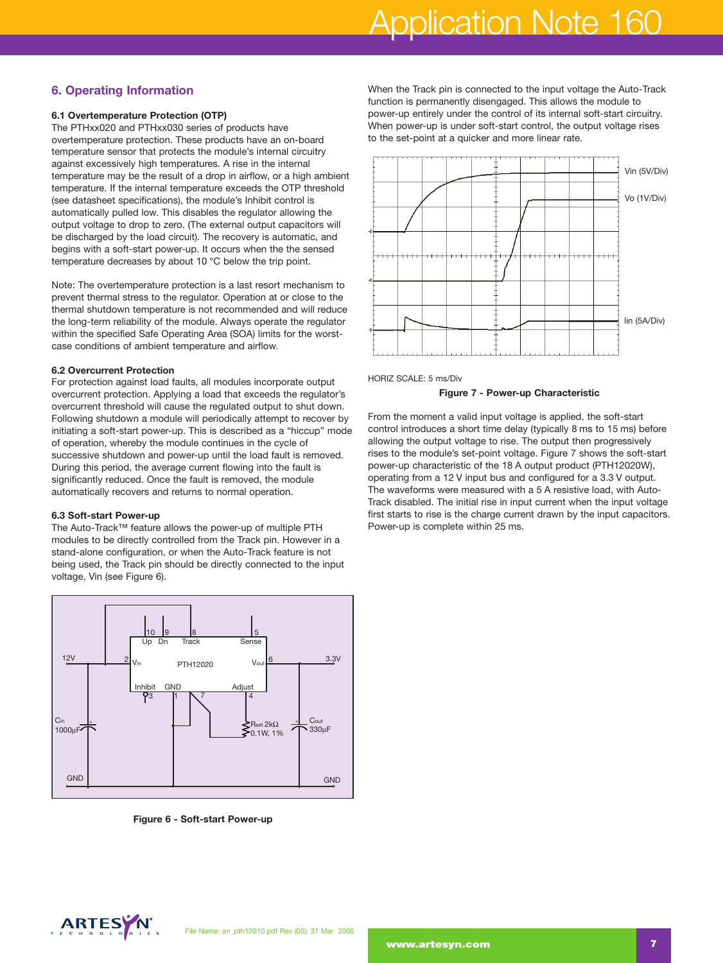## Application Note 160

## **6. Operating Information**

## **6.1 Overtemperature Protection (OTP)**

The PTHxx020 and PTHxx030 series of products have overtemperature protection. These products have an on-board temperature sensor that protects the module's internal circuitry against excessively high temperatures. A rise in the internal temperature may be the result of a drop in airflow, or a high ambient temperature. If the internal temperature exceeds the OTP threshold (see datasheet specifications), the module's Inhibit control is automatically pulled low. This disables the regulator allowing the output voltage to drop to zero. (The external output capacitors will be discharged by the load circuit). The recovery is automatic, and begins with a soft-start power-up. It occurs when the the sensed temperature decreases by about 10 °C below the trip point.

Note: The overtemperature protection is a last resort mechanism to prevent thermal stress to the regulator. Operation at or close to the thermal shutdown temperature is not recommended and will reduce the long-term reliability of the module. Always operate the regulator within the specified Safe Operating Area (SOA) limits for the worstcase conditions of ambient temperature and airflow.

#### **6.2 Overcurrent Protection**

For protection against load faults, all modules incorporate output overcurrent protection. Applying a load that exceeds the regulator's overcurrent threshold will cause the regulated output to shut down. Following shutdown a module will periodically attempt to recover by initiating a soft-start power-up. This is described as a "hiccup" mode of operation, whereby the module continues in the cycle of successive shutdown and power-up until the load fault is removed. During this period, the average current flowing into the fault is significantly reduced. Once the fault is removed, the module automatically recovers and returns to normal operation.

#### **6.3 Soft-start Power-up**

The Auto-Track™ feature allows the power-up of multiple PTH modules to be directly controlled from the Track pin. However in a stand-alone configuration, or when the Auto-Track feature is not being used, the Track pin should be directly connected to the input voltage, Vin (see Figure 6).



**Figure 6 - Soft-start Power-up**

When the Track pin is connected to the input voltage the Auto-Track function is permanently disengaged. This allows the module to power-up entirely under the control of its internal soft-start circuitry. When power-up is under soft-start control, the output voltage rises to the set-point at a quicker and more linear rate.





#### **Figure 7 - Power-up Characteristic**

From the moment a valid input voltage is applied, the soft-start control introduces a short time delay (typically 8 ms to 15 ms) before allowing the output voltage to rise. The output then progressively rises to the module's set-point voltage. Figure 7 shows the soft-start power-up characteristic of the 18 A output product (PTH12020W), operating from a 12 V input bus and configured for a 3.3 V output. The waveforms were measured with a 5 A resistive load, with Auto-Track disabled. The initial rise in input current when the input voltage first starts to rise is the charge current drawn by the input capacitors. Power-up is complete within 25 ms.

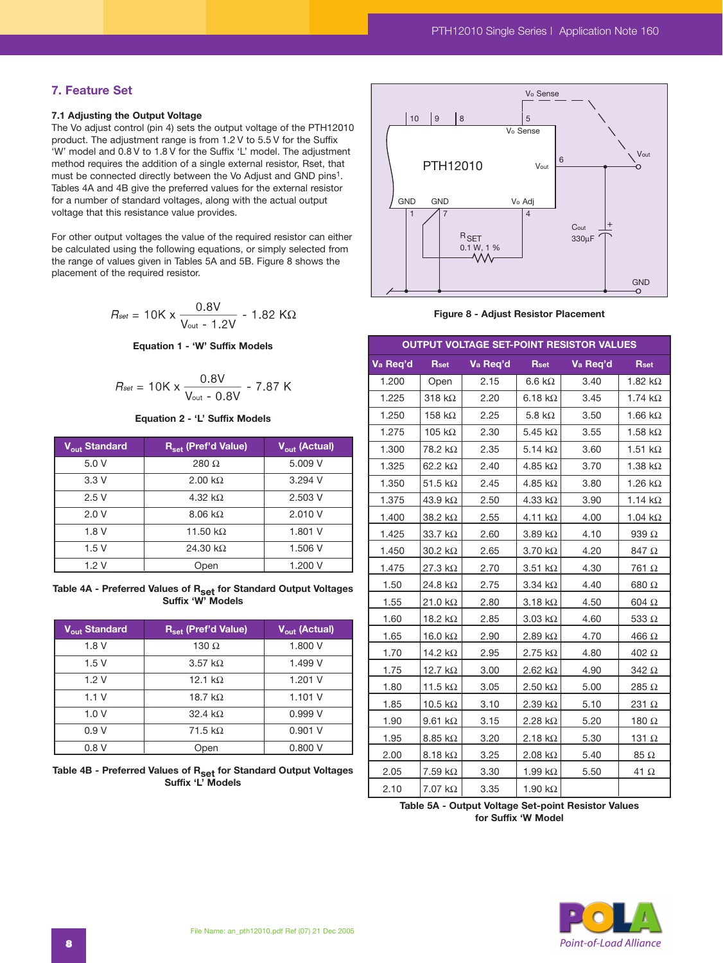## **7. Feature Set**

#### **7.1 Adjusting the Output Voltage**

The Vo adjust control (pin 4) sets the output voltage of the PTH12010 product. The adjustment range is from 1.2 V to 5.5 V for the Suffix 'W' model and 0.8 V to 1.8 V for the Suffix 'L' model. The adjustment method requires the addition of a single external resistor, Rset, that must be connected directly between the Vo Adjust and GND pins<sup>1</sup>. Tables 4A and 4B give the preferred values for the external resistor for a number of standard voltages, along with the actual output voltage that this resistance value provides.

For other output voltages the value of the required resistor can either be calculated using the following equations, or simply selected from the range of values given in Tables 5A and 5B. Figure 8 shows the placement of the required resistor.

$$
R_{\text{set}} = 10 \text{K} \times \frac{0.8 \text{V}}{\text{V}_{\text{out}} - 1.2 \text{V}} - 1.82 \text{ K}\Omega
$$

**Equation 1 - 'W' Suffix Models** 

$$
R_{\text{set}} = 10 \text{K} \times \frac{0.8 \text{V}}{\text{V}_{\text{out}} - 0.8 \text{V}} - 7.87 \text{ K}
$$

**Equation 2 - 'L' Suffix Models**

| V <sub>out</sub> Standard | R <sub>set</sub> (Pref'd Value) | $\overline{V_{\text{out}}}$ (Actual) |
|---------------------------|---------------------------------|--------------------------------------|
| 5.0 V                     | 280 $\Omega$                    | 5.009 V                              |
| 3.3V                      | 2.00 $k\Omega$                  | 3.294 V                              |
| 2.5V                      | 4.32 k $\Omega$                 | 2.503 V                              |
| 2.0V                      | $8.06 \text{ k}\Omega$          | 2.010 V                              |
| 1.8V                      | 11.50 $k\Omega$                 | 1.801 V                              |
| 1.5V                      | 24.30 k $\Omega$                | 1.506 V                              |
| 1.2 V                     | Open                            | 1.200 V                              |

**Table 4A - Preferred Values of Rset for Standard Output Voltages Suffix 'W' Models**

| V <sub>out</sub> Standard | $R_{\text{set}}$ (Pref'd Value) | V <sub>out</sub> (Actual) |
|---------------------------|---------------------------------|---------------------------|
| 1.8V                      | 130 $\Omega$                    | 1.800 V                   |
| 1.5V                      | 3.57 k $\Omega$                 | 1.499 V                   |
| 1.2V                      | 12.1 $k\Omega$                  | 1.201V                    |
| 1.1V                      | 18.7 k $\Omega$                 | 1.101V                    |
| 1.0V                      | 32.4 $k\Omega$                  | 0.999V                    |
| 0.9V                      | 71.5 $k\Omega$                  | 0.901V                    |
| 0.8V                      | Open                            | 0.800V                    |

Table 4B - Preferred Values of R<sub>set</sub> for Standard Output Voltages **Suffix 'L' Models**



**Figure 8 - Adjust Resistor Placement**

| OUTPUT VOLTAGE SET-POINT RESISTOR VALUES |                           |          |                        |          |                 |  |  |  |
|------------------------------------------|---------------------------|----------|------------------------|----------|-----------------|--|--|--|
| Va Req'd                                 | <b>Rset</b>               | Va Req'd | <b>Rset</b>            | Va Req'd | <b>Rset</b>     |  |  |  |
| 1.200                                    | Open                      | 2.15     | $6.6 \text{ k}\Omega$  | 3.40     | 1.82 $k\Omega$  |  |  |  |
| 1.225                                    | 318 $k\Omega$             | 2.20     | 6.18 $k\Omega$         | 3.45     | 1.74 $k\Omega$  |  |  |  |
| 1.250                                    | 158 k $\Omega$            | 2.25     | 5.8 k $\Omega$         | 3.50     | 1.66 $k\Omega$  |  |  |  |
| 1.275                                    | 105 k $\Omega$            | 2.30     | 5.45 $k\Omega$         | 3.55     | 1.58 $k\Omega$  |  |  |  |
| 1.300                                    | 78.2 kΩ                   | 2.35     | 5.14 $k\Omega$         | 3.60     | 1.51 $k\Omega$  |  |  |  |
| 1.325                                    | 62.2 k $\Omega$           | 2.40     | 4.85 $k\Omega$         | 3.70     | 1.38 $k\Omega$  |  |  |  |
| 1.350                                    | 51.5 $k\Omega$            | 2.45     | 4.85 $k\Omega$         | 3.80     | 1.26 $k\Omega$  |  |  |  |
| 1.375                                    | 43.9 k $\Omega$           | 2.50     | 4.33 $k\Omega$         | 3.90     | 1.14 $k\Omega$  |  |  |  |
| 1.400                                    | 38.2 kΩ                   | 2.55     | 4.11 $k\Omega$         | 4.00     | 1.04 $k\Omega$  |  |  |  |
| 1.425                                    | 33.7 $k\Omega$            | 2.60     | $3.89 k\Omega$         | 4.10     | 939 $\, \Omega$ |  |  |  |
| 1.450                                    | 30.2 $k\Omega$            | 2.65     | $3.70 \text{ k}\Omega$ | 4.20     | 847 Ω           |  |  |  |
| 1.475                                    | 27.3 $k\Omega$            | 2.70     | $3.51 k\Omega$         | 4.30     | 761Ω            |  |  |  |
| 1.50                                     | 24.8 k $\Omega$           | 2.75     | 3.34 $k\Omega$         | 4.40     | 680 Ω           |  |  |  |
| 1.55                                     | 21.0 $k\Omega$            | 2.80     | 3.18 $k\Omega$         | 4.50     | 604Ω            |  |  |  |
| 1.60                                     | 18.2 k $\Omega$           | 2.85     | $3.03 \text{ k}\Omega$ | 4.60     | 533 $\Omega$    |  |  |  |
| 1.65                                     | 16.0 k $\Omega$           | 2.90     | 2.89 $k\Omega$         | 4.70     | 466 Ω           |  |  |  |
| 1.70                                     | 14.2 k $\Omega$           | 2.95     | $2.75$ k $\Omega$      | 4.80     | 402 Ω           |  |  |  |
| 1.75                                     | 12.7 $k\Omega$            | 3.00     | 2.62 $k\Omega$         | 4.90     | 342 $\Omega$    |  |  |  |
| 1.80                                     | 11.5 k $\Omega$           | 3.05     | 2.50 k $\Omega$        | 5.00     | 285 Ω           |  |  |  |
| 1.85                                     | 10.5 $k\Omega$            | 3.10     | $2.39 k\Omega$         | 5.10     | 231 Ω           |  |  |  |
| 1.90                                     | 9.61 $k\Omega$            | 3.15     | 2.28 $k\Omega$         | 5.20     | 180 $\Omega$    |  |  |  |
| 1.95                                     | 8.85 k $\Omega$           | 3.20     | 2.18 $k\Omega$         | 5.30     | 131 $\Omega$    |  |  |  |
| 2.00                                     | 8.18 k $\Omega$           | 3.25     | 2.08 k $\Omega$        | 5.40     | 85 Ω            |  |  |  |
| 2.05                                     | $7.59\; \mathrm{k}\Omega$ | 3.30     | 1.99 k $\Omega$        | 5.50     | 41 $\Omega$     |  |  |  |
| 2.10                                     | $7.07 \text{ k}\Omega$    | 3.35     | 1.90 $k\Omega$         |          |                 |  |  |  |

**Table 5A - Output Voltage Set-point Resistor Values for Suffix 'W Model**

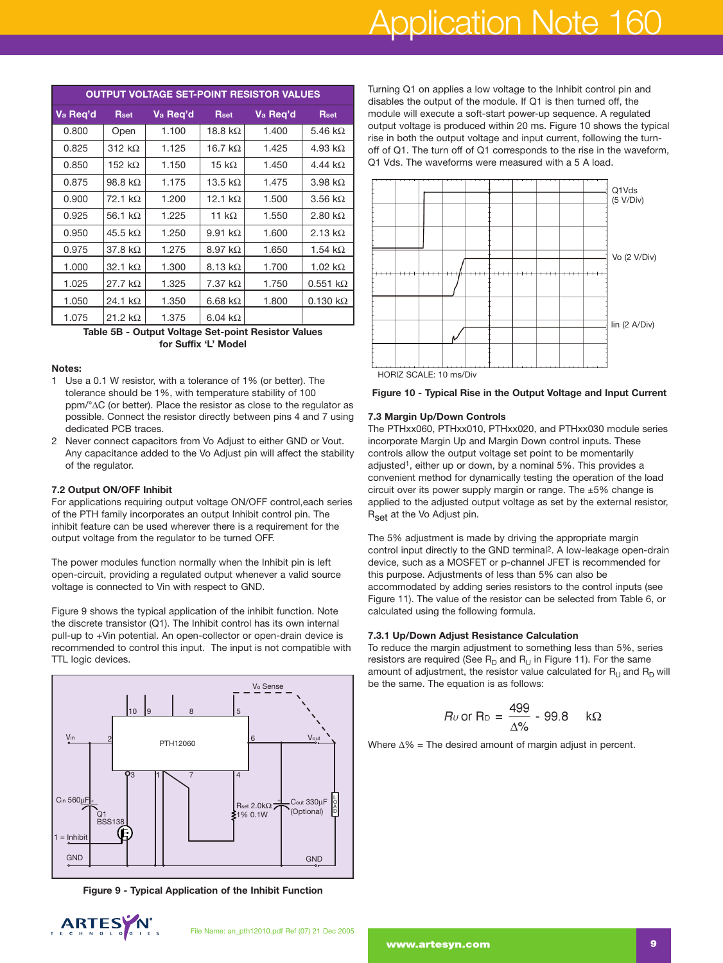# Application Note 160

| <b>OUTPUT VOLTAGE SET-POINT RESISTOR VALUES</b> |                        |          |                 |          |                         |  |  |
|-------------------------------------------------|------------------------|----------|-----------------|----------|-------------------------|--|--|
| Va Req'd                                        | <b>Rset</b>            | Va Reg'd | <b>Rset</b>     | Va Req'd | <b>Rset</b>             |  |  |
| 0.800                                           | Open                   | 1.100    | 18.8 k $\Omega$ | 1.400    | 5.46 k $\Omega$         |  |  |
| 0.825                                           | 312 k $\Omega$         | 1.125    | 16.7 k $\Omega$ | 1.425    | 4.93 k $\Omega$         |  |  |
| 0.850                                           | 152 k $\Omega$         | 1.150    | 15 k $\Omega$   | 1.450    | 4.44 kQ                 |  |  |
| 0.875                                           | 98.8 k $\Omega$        | 1.175    | 13.5 $k\Omega$  | 1.475    | 3.98 k $\Omega$         |  |  |
| 0.900                                           | $72.1 \text{ k}\Omega$ | 1.200    | 12.1 $k\Omega$  | 1.500    | $3.56 \text{ k}\Omega$  |  |  |
| 0.925                                           | 56.1 k $\Omega$        | 1.225    | 11 $k\Omega$    | 1.550    | 2.80 k $\Omega$         |  |  |
| 0.950                                           | 45.5 k $\Omega$        | 1.250    | 9.91 $k\Omega$  | 1.600    | 2.13 k $\Omega$         |  |  |
| 0.975                                           | 37.8 $k\Omega$         | 1.275    | 8.97 k $\Omega$ | 1.650    | 1.54 k $\Omega$         |  |  |
| 1.000                                           | 32.1 k $\Omega$        | 1.300    | 8.13 $k\Omega$  | 1.700    | 1.02 $k\Omega$          |  |  |
| 1.025                                           | 27.7 $k\Omega$         | 1.325    | 7.37 $k\Omega$  | 1.750    | $0.551 k\Omega$         |  |  |
| 1.050                                           | 24.1 k $\Omega$        | 1.350    | 6.68 $k\Omega$  | 1.800    | $0.130 \text{ k}\Omega$ |  |  |
| 1.075                                           | 21.2 k $\Omega$        | 1.375    | 6.04 k $\Omega$ |          |                         |  |  |

**Table 5B - Output Voltage Set-point Resistor Values for Suffix 'L' Model**

#### **Notes:**

- 1 Use a 0.1 W resistor, with a tolerance of 1% (or better). The tolerance should be 1%, with temperature stability of 100 ppm/°∆C (or better). Place the resistor as close to the regulator as possible. Connect the resistor directly between pins 4 and 7 using dedicated PCB traces.
- 2 Never connect capacitors from Vo Adjust to either GND or Vout. Any capacitance added to the Vo Adjust pin will affect the stability of the regulator.

#### **7.2 Output ON/OFF Inhibit**

For applications requiring output voltage ON/OFF control,each series of the PTH family incorporates an output Inhibit control pin. The inhibit feature can be used wherever there is a requirement for the output voltage from the regulator to be turned OFF.

The power modules function normally when the Inhibit pin is left open-circuit, providing a regulated output whenever a valid source voltage is connected to Vin with respect to GND.

Figure 9 shows the typical application of the inhibit function. Note the discrete transistor (Q1). The Inhibit control has its own internal pull-up to +Vin potential. An open-collector or open-drain device is recommended to control this input. The input is not compatible with TTL logic devices.



**Figure 9 - Typical Application of the Inhibit Function**



Turning Q1 on applies a low voltage to the Inhibit control pin and disables the output of the module. If Q1 is then turned off, the module will execute a soft-start power-up sequence. A regulated output voltage is produced within 20 ms. Figure 10 shows the typical rise in both the output voltage and input current, following the turnoff of Q1. The turn off of Q1 corresponds to the rise in the waveform, Q1 Vds. The waveforms were measured with a 5 A load.





#### **7.3 Margin Up/Down Controls**

The PTHxx060, PTHxx010, PTHxx020, and PTHxx030 module series incorporate Margin Up and Margin Down control inputs. These controls allow the output voltage set point to be momentarily adjusted<sup>1</sup>, either up or down, by a nominal 5%. This provides a convenient method for dynamically testing the operation of the load circuit over its power supply margin or range. The ±5% change is applied to the adjusted output voltage as set by the external resistor, R<sub>set</sub> at the Vo Adjust pin.

The 5% adjustment is made by driving the appropriate margin control input directly to the GND terminal2. A low-leakage open-drain device, such as a MOSFET or p-channel JFET is recommended for this purpose. Adjustments of less than 5% can also be accommodated by adding series resistors to the control inputs (see Figure 11). The value of the resistor can be selected from Table 6, or calculated using the following formula.

#### **7.3.1 Up/Down Adjust Resistance Calculation**

To reduce the margin adjustment to something less than 5%, series resistors are required (See  $R_D$  and  $R_U$  in Figure 11). For the same amount of adjustment, the resistor value calculated for  $R_{\text{U}}$  and  $R_{\text{D}}$  will be the same. The equation is as follows:

$$
R_U \text{ or } R_D = \frac{499}{\Delta\%} - 99.8 \text{ k}\Omega
$$

Where ∆% = The desired amount of margin adjust in percent.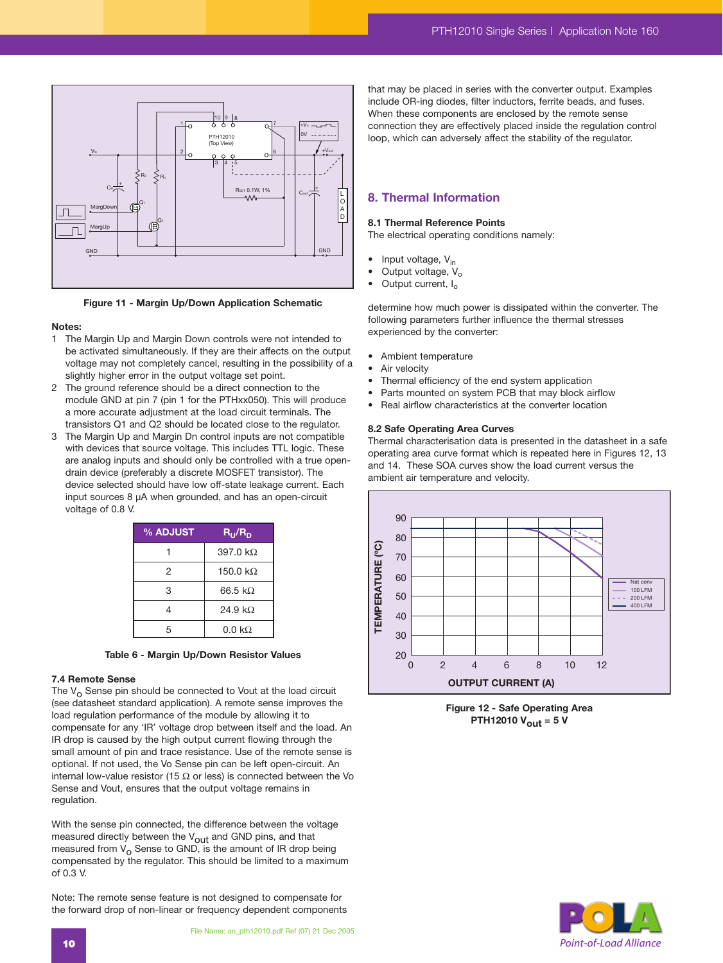

**Figure 11 - Margin Up/Down Application Schematic**

#### **Notes:**

- 1 The Margin Up and Margin Down controls were not intended to be activated simultaneously. If they are their affects on the output voltage may not completely cancel, resulting in the possibility of a slightly higher error in the output voltage set point.
- 2 The ground reference should be a direct connection to the module GND at pin 7 (pin 1 for the PTHxx050). This will produce a more accurate adjustment at the load circuit terminals. The transistors Q1 and Q2 should be located close to the regulator.
- 3 The Margin Up and Margin Dn control inputs are not compatible with devices that source voltage. This includes TTL logic. These are analog inputs and should only be controlled with a true opendrain device (preferably a discrete MOSFET transistor). The device selected should have low off-state leakage current. Each input sources 8 µA when grounded, and has an open-circuit voltage of 0.8 V.



#### **7.4 Remote Sense**

The  $V_{\Omega}$  Sense pin should be connected to Vout at the load circuit (see datasheet standard application). A remote sense improves the load regulation performance of the module by allowing it to compensate for any 'IR' voltage drop between itself and the load. An IR drop is caused by the high output current flowing through the small amount of pin and trace resistance. Use of the remote sense is optional. If not used, the Vo Sense pin can be left open-circuit. An internal low-value resistor (15  $\Omega$  or less) is connected between the Vo Sense and Vout, ensures that the output voltage remains in regulation.

With the sense pin connected, the difference between the voltage measured directly between the  $V_{\text{out}}$  and GND pins, and that measured from  $V<sub>o</sub>$  Sense to GND, is the amount of IR drop being compensated by the regulator. This should be limited to a maximum of 0.3 V.

Note: The remote sense feature is not designed to compensate for the forward drop of non-linear or frequency dependent components

that may be placed in series with the converter output. Examples include OR-ing diodes, filter inductors, ferrite beads, and fuses. When these components are enclosed by the remote sense connection they are effectively placed inside the regulation control loop, which can adversely affect the stability of the regulator.

## **8. Thermal Information**

#### **8.1 Thermal Reference Points**

The electrical operating conditions namely:

- $\bullet$  Input voltage,  $V_{in}$
- 
- Output voltage,  $V_o$ <br>• Output current,  $I_o$ Output current, I<sub>o</sub>

determine how much power is dissipated within the converter. The following parameters further influence the thermal stresses experienced by the converter:

- Ambient temperature
- Air velocity
- Thermal efficiency of the end system application
- Parts mounted on system PCB that may block airflow
- Real airflow characteristics at the converter location

#### **8.2 Safe Operating Area Curves**

Thermal characterisation data is presented in the datasheet in a safe operating area curve format which is repeated here in Figures 12, 13 and 14. These SOA curves show the load current versus the ambient air temperature and velocity.



**Figure 12 - Safe Operating Area PTH12010 Vout = 5 V**

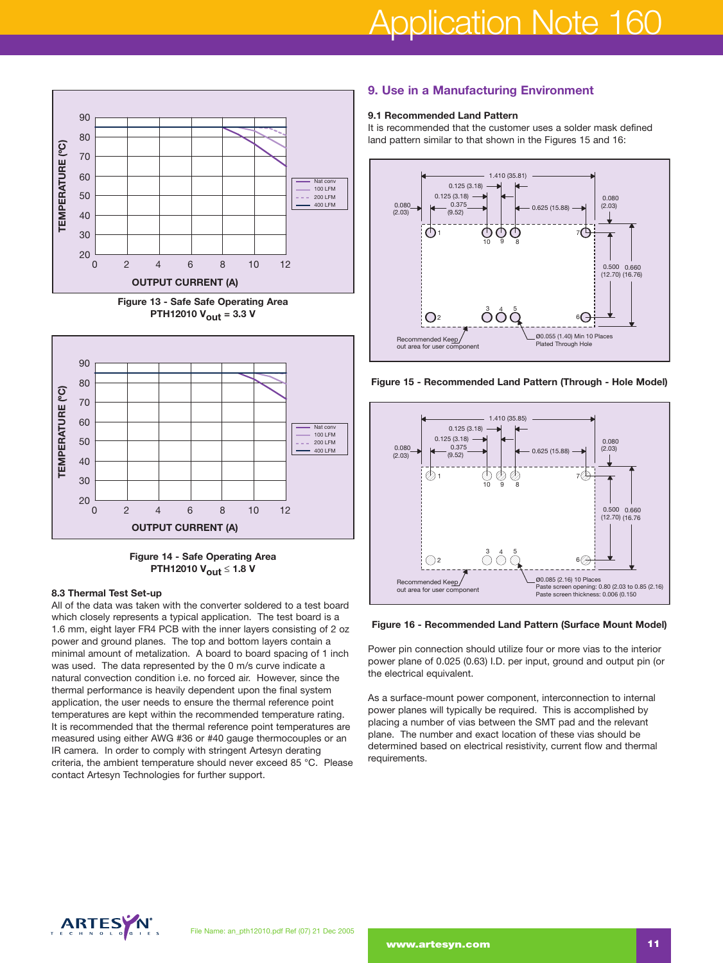





**Figure 14 - Safe Operating Area PTH12010 Vout ≤ 1.8 V**

#### **8.3 Thermal Test Set-up**

All of the data was taken with the converter soldered to a test board which closely represents a typical application. The test board is a 1.6 mm, eight layer FR4 PCB with the inner layers consisting of 2 oz power and ground planes. The top and bottom layers contain a minimal amount of metalization. A board to board spacing of 1 inch was used. The data represented by the 0 m/s curve indicate a natural convection condition i.e. no forced air. However, since the thermal performance is heavily dependent upon the final system application, the user needs to ensure the thermal reference point temperatures are kept within the recommended temperature rating. It is recommended that the thermal reference point temperatures are measured using either AWG #36 or #40 gauge thermocouples or an IR camera. In order to comply with stringent Artesyn derating criteria, the ambient temperature should never exceed 85 °C. Please contact Artesyn Technologies for further support.

## **9. Use in a Manufacturing Environment**

#### **9.1 Recommended Land Pattern**

It is recommended that the customer uses a solder mask defined land pattern similar to that shown in the Figures 15 and 16:



**Figure 15 - Recommended Land Pattern (Through - Hole Model)**



#### **Figure 16 - Recommended Land Pattern (Surface Mount Model)**

Power pin connection should utilize four or more vias to the interior power plane of 0.025 (0.63) I.D. per input, ground and output pin (or the electrical equivalent.

As a surface-mount power component, interconnection to internal power planes will typically be required. This is accomplished by placing a number of vias between the SMT pad and the relevant plane. The number and exact location of these vias should be determined based on electrical resistivity, current flow and thermal requirements.

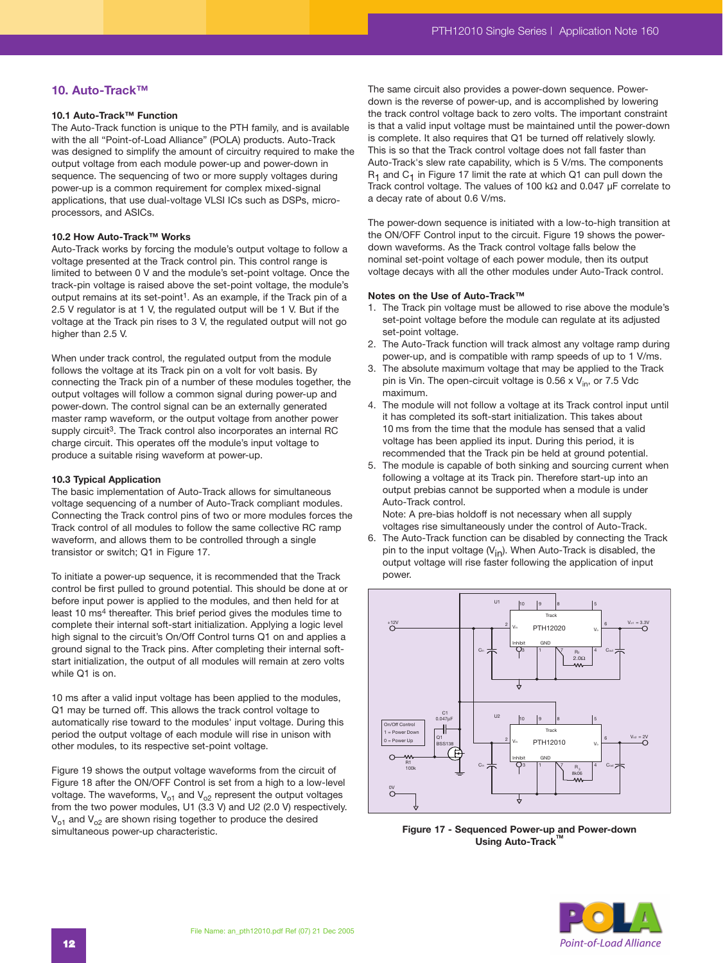## **10. Auto-Track™**

#### **10.1 Auto-Track™ Function**

The Auto-Track function is unique to the PTH family, and is available with the all "Point-of-Load Alliance" (POLA) products. Auto-Track was designed to simplify the amount of circuitry required to make the output voltage from each module power-up and power-down in sequence. The sequencing of two or more supply voltages during power-up is a common requirement for complex mixed-signal applications, that use dual-voltage VLSI ICs such as DSPs, microprocessors, and ASICs.

#### **10.2 How Auto-Track™ Works**

Auto-Track works by forcing the module's output voltage to follow a voltage presented at the Track control pin. This control range is limited to between 0 V and the module's set-point voltage. Once the track-pin voltage is raised above the set-point voltage, the module's output remains at its set-point<sup>1</sup>. As an example, if the Track pin of a 2.5 V regulator is at 1 V, the regulated output will be 1 V. But if the voltage at the Track pin rises to 3 V, the regulated output will not go higher than 2.5 V.

When under track control, the regulated output from the module follows the voltage at its Track pin on a volt for volt basis. By connecting the Track pin of a number of these modules together, the output voltages will follow a common signal during power-up and power-down. The control signal can be an externally generated master ramp waveform, or the output voltage from another power supply circuit<sup>3</sup>. The Track control also incorporates an internal RC charge circuit. This operates off the module's input voltage to produce a suitable rising waveform at power-up.

#### **10.3 Typical Application**

The basic implementation of Auto-Track allows for simultaneous voltage sequencing of a number of Auto-Track compliant modules. Connecting the Track control pins of two or more modules forces the Track control of all modules to follow the same collective RC ramp waveform, and allows them to be controlled through a single transistor or switch; Q1 in Figure 17.

To initiate a power-up sequence, it is recommended that the Track control be first pulled to ground potential. This should be done at or before input power is applied to the modules, and then held for at least 10 ms4 thereafter. This brief period gives the modules time to complete their internal soft-start initialization. Applying a logic level high signal to the circuit's On/Off Control turns Q1 on and applies a ground signal to the Track pins. After completing their internal softstart initialization, the output of all modules will remain at zero volts while Q1 is on.

10 ms after a valid input voltage has been applied to the modules, Q1 may be turned off. This allows the track control voltage to automatically rise toward to the modules' input voltage. During this period the output voltage of each module will rise in unison with other modules, to its respective set-point voltage.

Figure 19 shows the output voltage waveforms from the circuit of Figure 18 after the ON/OFF Control is set from a high to a low-level voltage. The waveforms,  $V_{01}$  and  $V_{02}$  represent the output voltages from the two power modules, U1 (3.3 V) and U2 (2.0 V) respectively.  $V_{o1}$  and  $V_{o2}$  are shown rising together to produce the desired simultaneous power-up characteristic.

The same circuit also provides a power-down sequence. Powerdown is the reverse of power-up, and is accomplished by lowering the track control voltage back to zero volts. The important constraint is that a valid input voltage must be maintained until the power-down is complete. It also requires that Q1 be turned off relatively slowly. This is so that the Track control voltage does not fall faster than Auto-Track's slew rate capability, which is 5 V/ms. The components  $R_1$  and  $C_1$  in Figure 17 limit the rate at which Q1 can pull down the Track control voltage. The values of 100 kΩ and 0.047 µF correlate to a decay rate of about 0.6 V/ms.

The power-down sequence is initiated with a low-to-high transition at the ON/OFF Control input to the circuit. Figure 19 shows the powerdown waveforms. As the Track control voltage falls below the nominal set-point voltage of each power module, then its output voltage decays with all the other modules under Auto-Track control.

#### **Notes on the Use of Auto-Track™**

- 1. The Track pin voltage must be allowed to rise above the module's set-point voltage before the module can regulate at its adjusted set-point voltage.
- 2. The Auto-Track function will track almost any voltage ramp during power-up, and is compatible with ramp speeds of up to 1 V/ms.
- 3. The absolute maximum voltage that may be applied to the Track pin is Vin. The open-circuit voltage is 0.56 x  $V_{in}$ , or 7.5 Vdc maximum.
- 4. The module will not follow a voltage at its Track control input until it has completed its soft-start initialization. This takes about 10 ms from the time that the module has sensed that a valid voltage has been applied its input. During this period, it is recommended that the Track pin be held at ground potential.
- 5. The module is capable of both sinking and sourcing current when following a voltage at its Track pin. Therefore start-up into an output prebias cannot be supported when a module is under Auto-Track control.

Note: A pre-bias holdoff is not necessary when all supply voltages rise simultaneously under the control of Auto-Track.

6. The Auto-Track function can be disabled by connecting the Track pin to the input voltage  $(V_{in})$ . When Auto-Track is disabled, the output voltage will rise faster following the application of input power.



**Figure 17 - Sequenced Power-up and Power-down Using Auto-Track** 

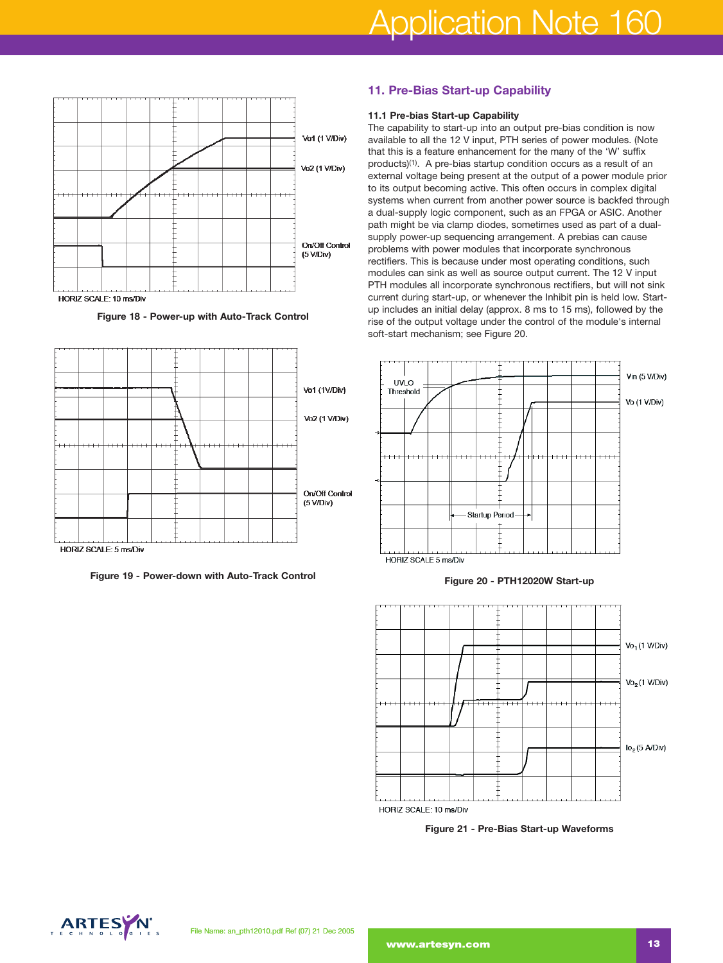

**Figure 18 - Power-up with Auto-Track Control**



**Figure 19 - Power-down with Auto-Track Control**

## **11. Pre-Bias Start-up Capability**

#### **11.1 Pre-bias Start-up Capability**

The capability to start-up into an output pre-bias condition is now available to all the 12 V input, PTH series of power modules. (Note that this is a feature enhancement for the many of the 'W' suffix products)(1). A pre-bias startup condition occurs as a result of an external voltage being present at the output of a power module prior to its output becoming active. This often occurs in complex digital systems when current from another power source is backfed through a dual-supply logic component, such as an FPGA or ASIC. Another path might be via clamp diodes, sometimes used as part of a dualsupply power-up sequencing arrangement. A prebias can cause problems with power modules that incorporate synchronous rectifiers. This is because under most operating conditions, such modules can sink as well as source output current. The 12 V input PTH modules all incorporate synchronous rectifiers, but will not sink current during start-up, or whenever the Inhibit pin is held low. Startup includes an initial delay (approx. 8 ms to 15 ms), followed by the rise of the output voltage under the control of the module's internal soft-start mechanism; see Figure 20.



#### **Figure 20 - PTH12020W Start-up**



**Figure 21 - Pre-Bias Start-up Waveforms**